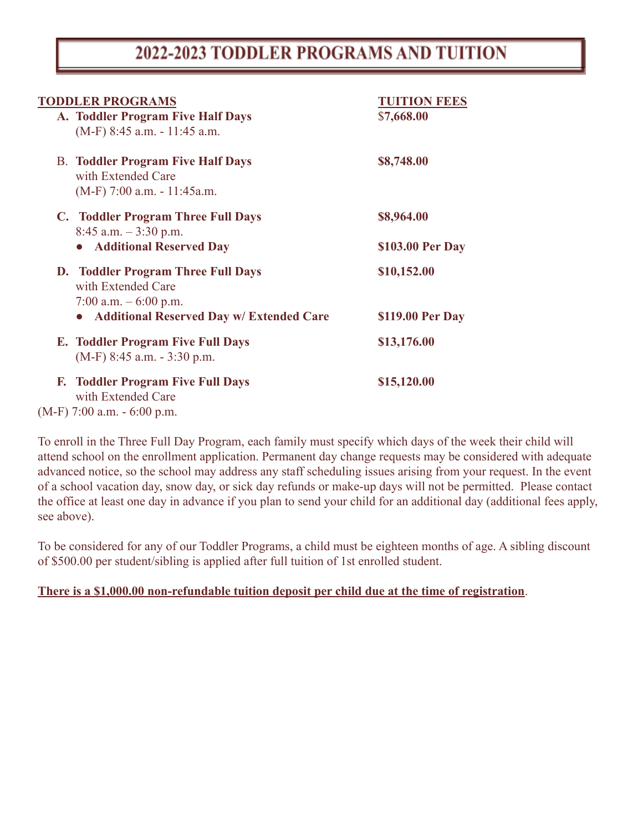# 2022-2023 TODDLER PROGRAMS AND TUITION

| <b>TODDLER PROGRAMS</b>                                                                         | <b>TUITION FEES</b> |
|-------------------------------------------------------------------------------------------------|---------------------|
| A. Toddler Program Five Half Days<br>(M-F) 8:45 a.m. - 11:45 a.m.                               | \$7,668.00          |
| <b>B. Toddler Program Five Half Days</b><br>with Extended Care<br>$(M-F)$ 7:00 a.m. - 11:45a.m. | \$8,748.00          |
| C. Toddler Program Three Full Days<br>$8:45$ a.m. $-3:30$ p.m.                                  | \$8,964.00          |
| <b>Additional Reserved Day</b>                                                                  | \$103.00 Per Day    |
| <b>D.</b> Toddler Program Three Full Days<br>with Extended Care<br>7:00 a.m. $-6:00$ p.m.       | \$10,152.00         |
| <b>Additional Reserved Day w/ Extended Care</b>                                                 | \$119.00 Per Day    |
| <b>E. Toddler Program Five Full Days</b><br>$(M-F)$ 8:45 a.m. $-$ 3:30 p.m.                     | \$13,176.00         |
| <b>Toddler Program Five Full Days</b><br>F.<br>with Extended Care                               | \$15,120.00         |
| $(M-F)$ 7:00 a.m. $-6:00$ p.m.                                                                  |                     |

To enroll in the Three Full Day Program, each family must specify which days of the week their child will attend school on the enrollment application. Permanent day change requests may be considered with adequate advanced notice, so the school may address any staff scheduling issues arising from your request. In the event of a school vacation day, snow day, or sick day refunds or make-up days will not be permitted. Please contact the office at least one day in advance if you plan to send your child for an additional day (additional fees apply, see above).

To be considered for any of our Toddler Programs, a child must be eighteen months of age. A sibling discount of \$500.00 per student/sibling is applied after full tuition of 1st enrolled student.

### **There is a \$1,000.00 non-refundable tuition deposit per child due at the time of registration**.